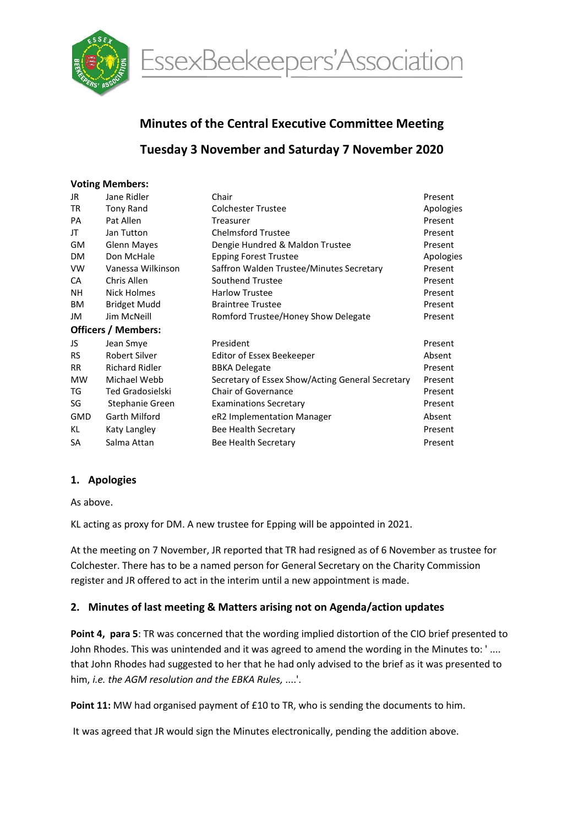

EssexBeekeepers'Association

# Minutes of the Central Executive Committee Meeting

# Tuesday 3 November and Saturday 7 November 2020

#### Voting Members:

| JR                         | Jane Ridler             | Chair                                            | Present   |  |  |  |
|----------------------------|-------------------------|--------------------------------------------------|-----------|--|--|--|
| TR                         | <b>Tony Rand</b>        | <b>Colchester Trustee</b>                        | Apologies |  |  |  |
| <b>PA</b>                  | Pat Allen               | Treasurer                                        | Present   |  |  |  |
| JT                         | Jan Tutton              | <b>Chelmsford Trustee</b>                        | Present   |  |  |  |
| GM                         | <b>Glenn Mayes</b>      | Dengie Hundred & Maldon Trustee                  | Present   |  |  |  |
| <b>DM</b>                  | Don McHale              | <b>Epping Forest Trustee</b>                     | Apologies |  |  |  |
| <b>VW</b>                  | Vanessa Wilkinson       | Saffron Walden Trustee/Minutes Secretary         | Present   |  |  |  |
| CA                         | Chris Allen             | Southend Trustee                                 | Present   |  |  |  |
| NΗ                         | Nick Holmes             | <b>Harlow Trustee</b>                            | Present   |  |  |  |
| BM                         | <b>Bridget Mudd</b>     | <b>Braintree Trustee</b>                         | Present   |  |  |  |
| JM                         | Jim McNeill             | Romford Trustee/Honey Show Delegate              | Present   |  |  |  |
| <b>Officers / Members:</b> |                         |                                                  |           |  |  |  |
| JS                         | Jean Smye               | President                                        | Present   |  |  |  |
| <b>RS</b>                  | Robert Silver           | <b>Editor of Essex Beekeeper</b>                 | Absent    |  |  |  |
| <b>RR</b>                  | <b>Richard Ridler</b>   | <b>BBKA Delegate</b>                             | Present   |  |  |  |
| <b>MW</b>                  | Michael Webb            | Secretary of Essex Show/Acting General Secretary | Present   |  |  |  |
| TG                         | <b>Ted Gradosielski</b> | <b>Chair of Governance</b>                       | Present   |  |  |  |
| SG                         | Stephanie Green         | <b>Examinations Secretary</b>                    | Present   |  |  |  |
| <b>GMD</b>                 | Garth Milford           | eR2 Implementation Manager                       | Absent    |  |  |  |
| KL                         | Katy Langley            | Bee Health Secretary                             | Present   |  |  |  |
| SA                         | Salma Attan             | Bee Health Secretary                             | Present   |  |  |  |
|                            |                         |                                                  |           |  |  |  |

#### 1. Apologies

As above.

KL acting as proxy for DM. A new trustee for Epping will be appointed in 2021.

At the meeting on 7 November, JR reported that TR had resigned as of 6 November as trustee for Colchester. There has to be a named person for General Secretary on the Charity Commission register and JR offered to act in the interim until a new appointment is made.

#### 2. Minutes of last meeting & Matters arising not on Agenda/action updates

Point 4, para 5: TR was concerned that the wording implied distortion of the CIO brief presented to John Rhodes. This was unintended and it was agreed to amend the wording in the Minutes to: ' .... that John Rhodes had suggested to her that he had only advised to the brief as it was presented to him, i.e. the AGM resolution and the EBKA Rules, ....'.

Point 11: MW had organised payment of £10 to TR, who is sending the documents to him.

It was agreed that JR would sign the Minutes electronically, pending the addition above.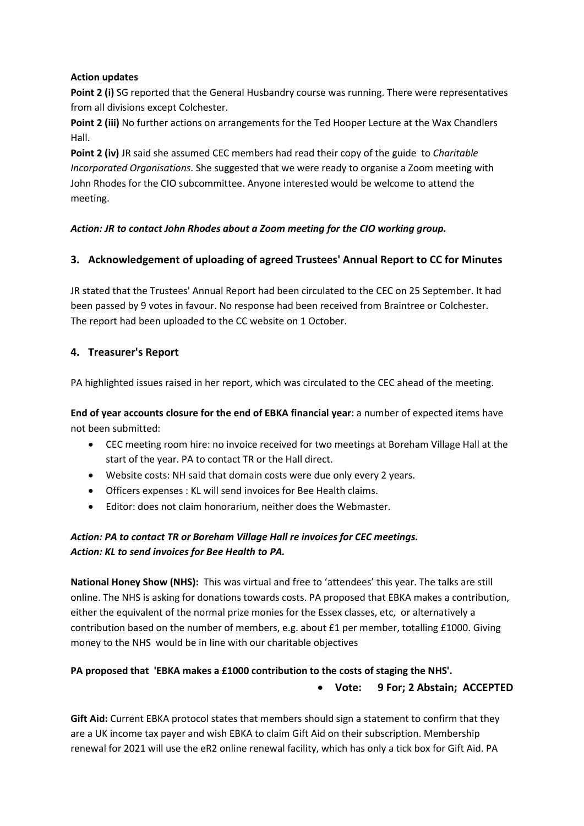#### Action updates

Point 2 (i) SG reported that the General Husbandry course was running. There were representatives from all divisions except Colchester.

Point 2 (iii) No further actions on arrangements for the Ted Hooper Lecture at the Wax Chandlers Hall.

Point 2 (iv) JR said she assumed CEC members had read their copy of the guide to Charitable Incorporated Organisations. She suggested that we were ready to organise a Zoom meeting with John Rhodes for the CIO subcommittee. Anyone interested would be welcome to attend the meeting.

#### Action: JR to contact John Rhodes about a Zoom meeting for the CIO working group.

## 3. Acknowledgement of uploading of agreed Trustees' Annual Report to CC for Minutes

JR stated that the Trustees' Annual Report had been circulated to the CEC on 25 September. It had been passed by 9 votes in favour. No response had been received from Braintree or Colchester. The report had been uploaded to the CC website on 1 October.

# 4. Treasurer's Report

PA highlighted issues raised in her report, which was circulated to the CEC ahead of the meeting.

End of year accounts closure for the end of EBKA financial year: a number of expected items have not been submitted:

- CEC meeting room hire: no invoice received for two meetings at Boreham Village Hall at the start of the year. PA to contact TR or the Hall direct.
- Website costs: NH said that domain costs were due only every 2 years.
- Officers expenses : KL will send invoices for Bee Health claims.
- Editor: does not claim honorarium, neither does the Webmaster.

# Action: PA to contact TR or Boreham Village Hall re invoices for CEC meetings. Action: KL to send invoices for Bee Health to PA.

National Honey Show (NHS): This was virtual and free to 'attendees' this year. The talks are still online. The NHS is asking for donations towards costs. PA proposed that EBKA makes a contribution, either the equivalent of the normal prize monies for the Essex classes, etc, or alternatively a contribution based on the number of members, e.g. about £1 per member, totalling £1000. Giving money to the NHS would be in line with our charitable objectives

# PA proposed that 'EBKA makes a £1000 contribution to the costs of staging the NHS'.

#### Vote: 9 For; 2 Abstain; ACCEPTED

Gift Aid: Current EBKA protocol states that members should sign a statement to confirm that they are a UK income tax payer and wish EBKA to claim Gift Aid on their subscription. Membership renewal for 2021 will use the eR2 online renewal facility, which has only a tick box for Gift Aid. PA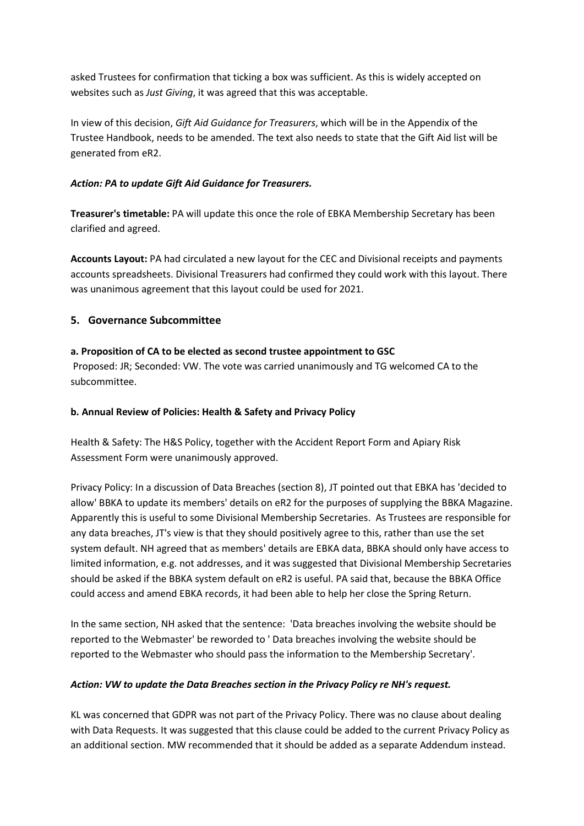asked Trustees for confirmation that ticking a box was sufficient. As this is widely accepted on websites such as Just Giving, it was agreed that this was acceptable.

In view of this decision, Gift Aid Guidance for Treasurers, which will be in the Appendix of the Trustee Handbook, needs to be amended. The text also needs to state that the Gift Aid list will be generated from eR2.

#### Action: PA to update Gift Aid Guidance for Treasurers.

Treasurer's timetable: PA will update this once the role of EBKA Membership Secretary has been clarified and agreed.

Accounts Layout: PA had circulated a new layout for the CEC and Divisional receipts and payments accounts spreadsheets. Divisional Treasurers had confirmed they could work with this layout. There was unanimous agreement that this layout could be used for 2021.

## 5. Governance Subcommittee

## a. Proposition of CA to be elected as second trustee appointment to GSC

 Proposed: JR; Seconded: VW. The vote was carried unanimously and TG welcomed CA to the subcommittee.

#### b. Annual Review of Policies: Health & Safety and Privacy Policy

Health & Safety: The H&S Policy, together with the Accident Report Form and Apiary Risk Assessment Form were unanimously approved.

Privacy Policy: In a discussion of Data Breaches (section 8), JT pointed out that EBKA has 'decided to allow' BBKA to update its members' details on eR2 for the purposes of supplying the BBKA Magazine. Apparently this is useful to some Divisional Membership Secretaries. As Trustees are responsible for any data breaches, JT's view is that they should positively agree to this, rather than use the set system default. NH agreed that as members' details are EBKA data, BBKA should only have access to limited information, e.g. not addresses, and it was suggested that Divisional Membership Secretaries should be asked if the BBKA system default on eR2 is useful. PA said that, because the BBKA Office could access and amend EBKA records, it had been able to help her close the Spring Return.

In the same section, NH asked that the sentence: 'Data breaches involving the website should be reported to the Webmaster' be reworded to ' Data breaches involving the website should be reported to the Webmaster who should pass the information to the Membership Secretary'.

#### Action: VW to update the Data Breaches section in the Privacy Policy re NH's request.

KL was concerned that GDPR was not part of the Privacy Policy. There was no clause about dealing with Data Requests. It was suggested that this clause could be added to the current Privacy Policy as an additional section. MW recommended that it should be added as a separate Addendum instead.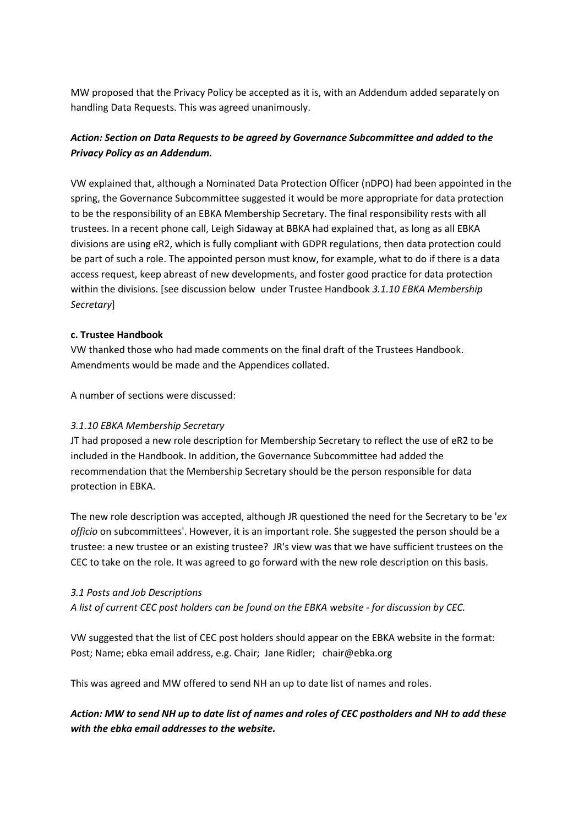MW proposed that the Privacy Policy be accepted as it is, with an Addendum added separately on handling Data Requests. This was agreed unanimously.

# Action: Section on Data Requests to be agreed by Governance Subcommittee and added to the Privacy Policy as an Addendum.

VW explained that, although a Nominated Data Protection Officer (nDPO) had been appointed in the spring, the Governance Subcommittee suggested it would be more appropriate for data protection to be the responsibility of an EBKA Membership Secretary. The final responsibility rests with all trustees. In a recent phone call, Leigh Sidaway at BBKA had explained that, as long as all EBKA divisions are using eR2, which is fully compliant with GDPR regulations, then data protection could be part of such a role. The appointed person must know, for example, what to do if there is a data access request, keep abreast of new developments, and foster good practice for data protection within the divisions. [see discussion below under Trustee Handbook 3.1.10 EBKA Membership Secretary]

#### c. Trustee Handbook

VW thanked those who had made comments on the final draft of the Trustees Handbook. Amendments would be made and the Appendices collated.

A number of sections were discussed:

#### 3.1.10 EBKA Membership Secretary

JT had proposed a new role description for Membership Secretary to reflect the use of eR2 to be included in the Handbook. In addition, the Governance Subcommittee had added the recommendation that the Membership Secretary should be the person responsible for data protection in EBKA.

The new role description was accepted, although JR questioned the need for the Secretary to be 'ex officio on subcommittees'. However, it is an important role. She suggested the person should be a trustee: a new trustee or an existing trustee? JR's view was that we have sufficient trustees on the CEC to take on the role. It was agreed to go forward with the new role description on this basis.

#### 3.1 Posts and Job Descriptions

A list of current CEC post holders can be found on the EBKA website - for discussion by CEC.

VW suggested that the list of CEC post holders should appear on the EBKA website in the format: Post; Name; ebka email address, e.g. Chair; Jane Ridler; chair@ebka.org

This was agreed and MW offered to send NH an up to date list of names and roles.

Action: MW to send NH up to date list of names and roles of CEC postholders and NH to add these with the ebka email addresses to the website.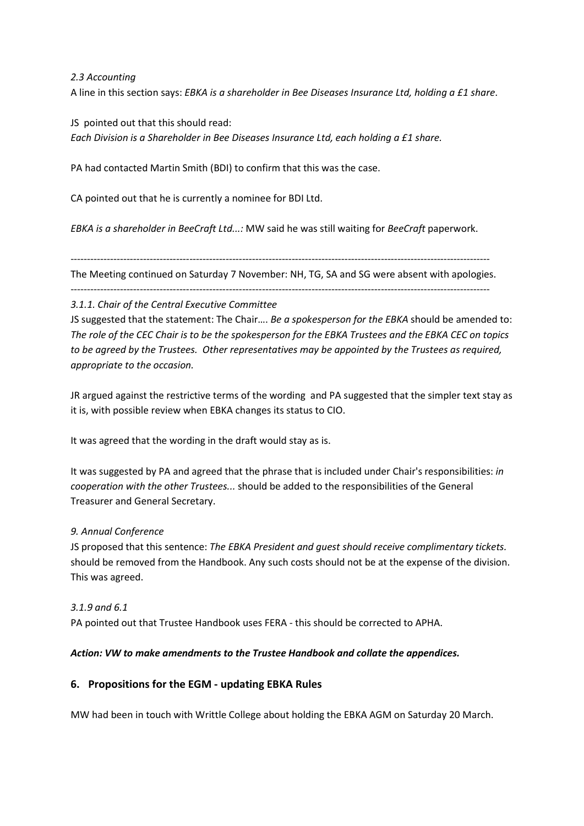2.3 Accounting

A line in this section says: EBKA is a shareholder in Bee Diseases Insurance Ltd, holding a £1 share.

JS pointed out that this should read: Each Division is a Shareholder in Bee Diseases Insurance Ltd, each holding a £1 share.

PA had contacted Martin Smith (BDI) to confirm that this was the case.

CA pointed out that he is currently a nominee for BDI Ltd.

EBKA is a shareholder in BeeCraft Ltd...: MW said he was still waiting for BeeCraft paperwork.

-------------------------------------------------------------------------------------------------------------------------------

The Meeting continued on Saturday 7 November: NH, TG, SA and SG were absent with apologies.

-------------------------------------------------------------------------------------------------------------------------------

#### 3.1.1. Chair of the Central Executive Committee

JS suggested that the statement: The Chair.... Be a spokesperson for the EBKA should be amended to: The role of the CEC Chair is to be the spokesperson for the EBKA Trustees and the EBKA CEC on topics to be agreed by the Trustees. Other representatives may be appointed by the Trustees as required, appropriate to the occasion.

JR argued against the restrictive terms of the wording and PA suggested that the simpler text stay as it is, with possible review when EBKA changes its status to CIO.

It was agreed that the wording in the draft would stay as is.

It was suggested by PA and agreed that the phrase that is included under Chair's responsibilities: in cooperation with the other Trustees... should be added to the responsibilities of the General Treasurer and General Secretary.

#### 9. Annual Conference

JS proposed that this sentence: The EBKA President and quest should receive complimentary tickets. should be removed from the Handbook. Any such costs should not be at the expense of the division. This was agreed.

# 3.1.9 and 6.1 PA pointed out that Trustee Handbook uses FERA - this should be corrected to APHA.

#### Action: VW to make amendments to the Trustee Handbook and collate the appendices.

#### 6. Propositions for the EGM - updating EBKA Rules

MW had been in touch with Writtle College about holding the EBKA AGM on Saturday 20 March.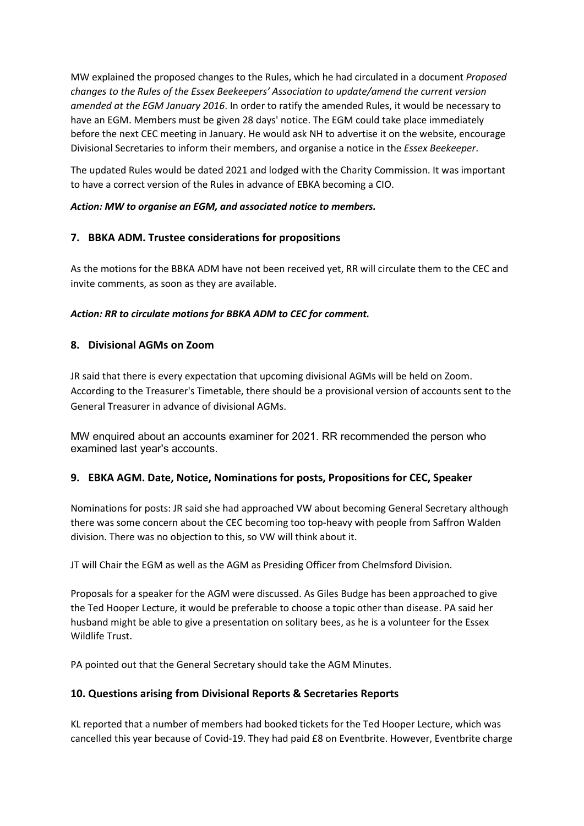MW explained the proposed changes to the Rules, which he had circulated in a document Proposed changes to the Rules of the Essex Beekeepers' Association to update/amend the current version amended at the EGM January 2016. In order to ratify the amended Rules, it would be necessary to have an EGM. Members must be given 28 days' notice. The EGM could take place immediately before the next CEC meeting in January. He would ask NH to advertise it on the website, encourage Divisional Secretaries to inform their members, and organise a notice in the Essex Beekeeper.

The updated Rules would be dated 2021 and lodged with the Charity Commission. It was important to have a correct version of the Rules in advance of EBKA becoming a CIO.

#### Action: MW to organise an EGM, and associated notice to members.

# 7. BBKA ADM. Trustee considerations for propositions

As the motions for the BBKA ADM have not been received yet, RR will circulate them to the CEC and invite comments, as soon as they are available.

# Action: RR to circulate motions for BBKA ADM to CEC for comment.

# 8. Divisional AGMs on Zoom

JR said that there is every expectation that upcoming divisional AGMs will be held on Zoom. According to the Treasurer's Timetable, there should be a provisional version of accounts sent to the General Treasurer in advance of divisional AGMs.

MW enquired about an accounts examiner for 2021. RR recommended the person who examined last year's accounts.

# 9. EBKA AGM. Date, Notice, Nominations for posts, Propositions for CEC, Speaker

Nominations for posts: JR said she had approached VW about becoming General Secretary although there was some concern about the CEC becoming too top-heavy with people from Saffron Walden division. There was no objection to this, so VW will think about it.

JT will Chair the EGM as well as the AGM as Presiding Officer from Chelmsford Division.

Proposals for a speaker for the AGM were discussed. As Giles Budge has been approached to give the Ted Hooper Lecture, it would be preferable to choose a topic other than disease. PA said her husband might be able to give a presentation on solitary bees, as he is a volunteer for the Essex Wildlife Trust.

PA pointed out that the General Secretary should take the AGM Minutes.

# 10. Questions arising from Divisional Reports & Secretaries Reports

KL reported that a number of members had booked tickets for the Ted Hooper Lecture, which was cancelled this year because of Covid-19. They had paid £8 on Eventbrite. However, Eventbrite charge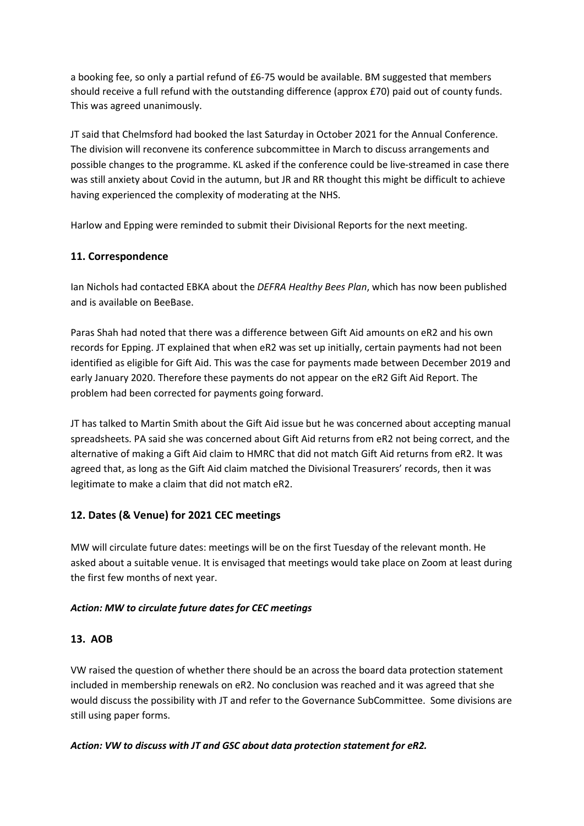a booking fee, so only a partial refund of £6-75 would be available. BM suggested that members should receive a full refund with the outstanding difference (approx £70) paid out of county funds. This was agreed unanimously.

JT said that Chelmsford had booked the last Saturday in October 2021 for the Annual Conference. The division will reconvene its conference subcommittee in March to discuss arrangements and possible changes to the programme. KL asked if the conference could be live-streamed in case there was still anxiety about Covid in the autumn, but JR and RR thought this might be difficult to achieve having experienced the complexity of moderating at the NHS.

Harlow and Epping were reminded to submit their Divisional Reports for the next meeting.

# 11. Correspondence

Ian Nichols had contacted EBKA about the DEFRA Healthy Bees Plan, which has now been published and is available on BeeBase.

Paras Shah had noted that there was a difference between Gift Aid amounts on eR2 and his own records for Epping. JT explained that when eR2 was set up initially, certain payments had not been identified as eligible for Gift Aid. This was the case for payments made between December 2019 and early January 2020. Therefore these payments do not appear on the eR2 Gift Aid Report. The problem had been corrected for payments going forward.

JT has talked to Martin Smith about the Gift Aid issue but he was concerned about accepting manual spreadsheets. PA said she was concerned about Gift Aid returns from eR2 not being correct, and the alternative of making a Gift Aid claim to HMRC that did not match Gift Aid returns from eR2. It was agreed that, as long as the Gift Aid claim matched the Divisional Treasurers' records, then it was legitimate to make a claim that did not match eR2.

# 12. Dates (& Venue) for 2021 CEC meetings

MW will circulate future dates: meetings will be on the first Tuesday of the relevant month. He asked about a suitable venue. It is envisaged that meetings would take place on Zoom at least during the first few months of next year.

# Action: MW to circulate future dates for CEC meetings

# 13. AOB

VW raised the question of whether there should be an across the board data protection statement included in membership renewals on eR2. No conclusion was reached and it was agreed that she would discuss the possibility with JT and refer to the Governance SubCommittee. Some divisions are still using paper forms.

#### Action: VW to discuss with JT and GSC about data protection statement for eR2.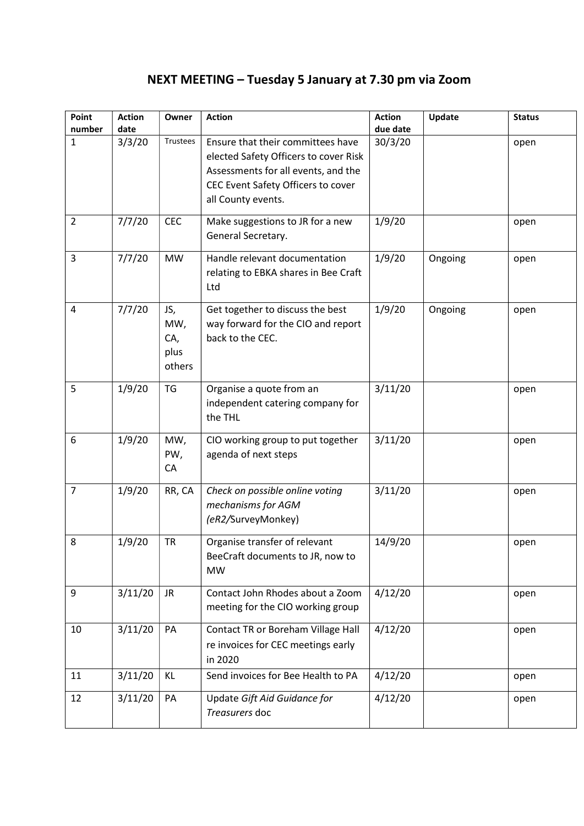# NEXT MEETING – Tuesday 5 January at 7.30 pm via Zoom

| Point<br>number | <b>Action</b><br>date | Owner                               | <b>Action</b>                                                                                                                                                                 | <b>Action</b><br>due date | Update  | <b>Status</b> |
|-----------------|-----------------------|-------------------------------------|-------------------------------------------------------------------------------------------------------------------------------------------------------------------------------|---------------------------|---------|---------------|
| $\mathbf{1}$    | 3/3/20                | Trustees                            | Ensure that their committees have<br>elected Safety Officers to cover Risk<br>Assessments for all events, and the<br>CEC Event Safety Officers to cover<br>all County events. | 30/3/20                   |         | open          |
| $\overline{2}$  | 7/7/20                | <b>CEC</b>                          | Make suggestions to JR for a new<br>General Secretary.                                                                                                                        | 1/9/20                    |         | open          |
| 3               | 7/7/20                | <b>MW</b>                           | Handle relevant documentation<br>relating to EBKA shares in Bee Craft<br>Ltd                                                                                                  | 1/9/20                    | Ongoing | open          |
| 4               | 7/7/20                | JS,<br>MW,<br>CA,<br>plus<br>others | Get together to discuss the best<br>way forward for the CIO and report<br>back to the CEC.                                                                                    | 1/9/20                    | Ongoing | open          |
| 5               | 1/9/20                | <b>TG</b>                           | Organise a quote from an<br>independent catering company for<br>the THL                                                                                                       | 3/11/20                   |         | open          |
| 6               | 1/9/20                | MW,<br>PW,<br>CA                    | CIO working group to put together<br>agenda of next steps                                                                                                                     | 3/11/20                   |         | open          |
| $\overline{7}$  | 1/9/20                | RR, CA                              | Check on possible online voting<br>mechanisms for AGM<br>(eR2/SurveyMonkey)                                                                                                   | 3/11/20                   |         | open          |
| 8               | 1/9/20                | <b>TR</b>                           | Organise transfer of relevant<br>BeeCraft documents to JR, now to<br><b>MW</b>                                                                                                | 14/9/20                   |         | open          |
| 9               | 3/11/20               | JR.                                 | Contact John Rhodes about a Zoom<br>meeting for the CIO working group                                                                                                         | 4/12/20                   |         | open          |
| 10              | 3/11/20               | PA                                  | Contact TR or Boreham Village Hall<br>re invoices for CEC meetings early<br>in 2020                                                                                           | 4/12/20                   |         | open          |
| 11              | 3/11/20               | KL                                  | Send invoices for Bee Health to PA                                                                                                                                            | 4/12/20                   |         | open          |
| 12              | 3/11/20               | PA                                  | Update Gift Aid Guidance for<br>Treasurers doc                                                                                                                                | 4/12/20                   |         | open          |